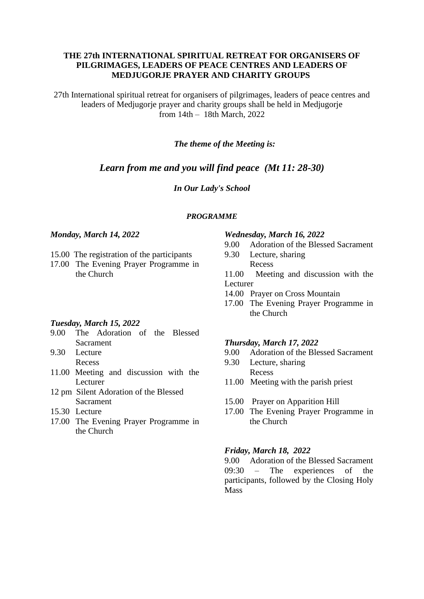## **THE 27th INTERNATIONAL SPIRITUAL RETREAT FOR ORGANISERS OF PILGRIMAGES, LEADERS OF PEACE CENTRES AND LEADERS OF MEDJUGORJE PRAYER AND CHARITY GROUPS**

27th International spiritual retreat for organisers of pilgrimages, leaders of peace centres and leaders of Medjugorje prayer and charity groups shall be held in Medjugorje from 14th – 18th March, 2022

## *The theme of the Meeting is:*

# *Learn from me and you will find peace (Mt 11: 28-30)*

## *In Our Lady's School*

### *PROGRAMME*

### *Monday, March 14, 2022*

- 15.00 The registration of the participants
- 17.00 The Evening Prayer Programme in the Church

### *Tuesday, March 15, 2022*

- 9.00 The Adoration of the Blessed Sacrament
- 9.30 Lecture Recess
- 11.00 Meeting and discussion with the Lecturer
- 12 pm Silent Adoration of the Blessed Sacrament
- 15.30 Lecture
- 17.00 The Evening Prayer Programme in the Church

#### *Wednesday, March 16, 2022*

- 9.00 Adoration of the Blessed Sacrament
- 9.30 Lecture, sharing Recess

11.00 Meeting and discussion with the Lecturer

- 14.00 Prayer on Cross Mountain
- 17.00 The Evening Prayer Programme in the Church

#### *Thursday, March 17, 2022*

- 9.00 Adoration of the Blessed Sacrament
- 9.30 Lecture, sharing Recess
- 11.00 Meeting with the parish priest
- 15.00 Prayer on Apparition Hill
- 17.00 The Evening Prayer Programme in the Church

### *Friday, March 18, 2022*

9.00 Adoration of the Blessed Sacrament 09:30 – The experiences of the participants, followed by the Closing Holy Mass